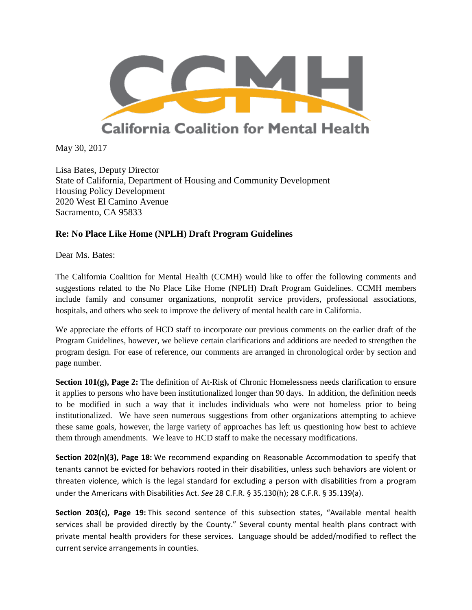

May 30, 2017

Lisa Bates, Deputy Director State of California, Department of Housing and Community Development Housing Policy Development 2020 West El Camino Avenue Sacramento, CA 95833

## **Re: No Place Like Home (NPLH) Draft Program Guidelines**

Dear Ms. Bates:

The California Coalition for Mental Health (CCMH) would like to offer the following comments and suggestions related to the No Place Like Home (NPLH) Draft Program Guidelines. CCMH members include family and consumer organizations, nonprofit service providers, professional associations, hospitals, and others who seek to improve the delivery of mental health care in California.

We appreciate the efforts of HCD staff to incorporate our previous comments on the earlier draft of the Program Guidelines, however, we believe certain clarifications and additions are needed to strengthen the program design. For ease of reference, our comments are arranged in chronological order by section and page number.

**Section 101(g), Page 2:** The definition of At-Risk of Chronic Homelessness needs clarification to ensure it applies to persons who have been institutionalized longer than 90 days. In addition, the definition needs to be modified in such a way that it includes individuals who were not homeless prior to being institutionalized. We have seen numerous suggestions from other organizations attempting to achieve these same goals, however, the large variety of approaches has left us questioning how best to achieve them through amendments. We leave to HCD staff to make the necessary modifications.

**Section 202(n)(3), Page 18:** We recommend expanding on Reasonable Accommodation to specify that tenants cannot be evicted for behaviors rooted in their disabilities, unless such behaviors are violent or threaten violence, which is the legal standard for excluding a person with disabilities from a program under the Americans with Disabilities Act. *See* 28 C.F.R. § 35.130(h); 28 C.F.R. § 35.139(a).

**Section 203(c), Page 19:** This second sentence of this subsection states, "Available mental health services shall be provided directly by the County." Several county mental health plans contract with private mental health providers for these services. Language should be added/modified to reflect the current service arrangements in counties.